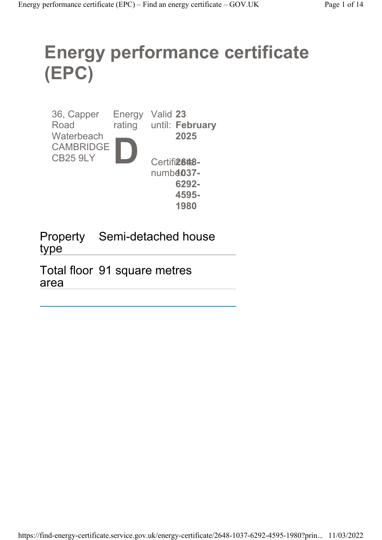# Energy performance certificate (EPC)

| 36, Capper<br>Road                  | Energy<br>rating | Valid 23 | until: February           |
|-------------------------------------|------------------|----------|---------------------------|
| Waterbeach                          |                  |          | 2025                      |
| <b>CAMBRIDGE</b><br><b>CB25 9LY</b> |                  |          |                           |
|                                     |                  |          | Certifi <sub>2648</sub> - |
|                                     |                  |          | $numb4037-$               |
|                                     |                  |          | 6292-                     |
|                                     |                  |          | 4595-                     |
|                                     |                  |          | 1980                      |

Property Semi-detached house type

Total floor 91 square metres area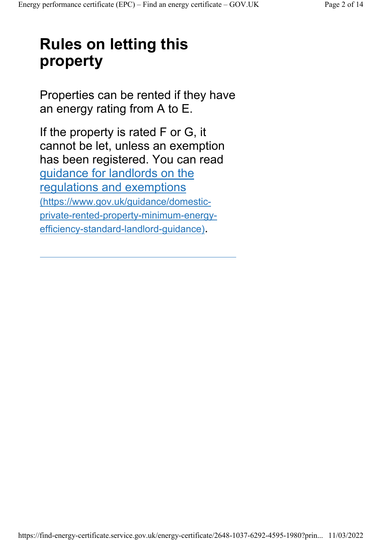## Rules on letting this property

Properties can be rented if they have an energy rating from A to E.

If the property is rated F or G, it cannot be let, unless an exemption has been registered. You can read guidance for landlords on the regulations and exemptions (https://www.gov.uk/guidance/domesticprivate-rented-property-minimum-energyefficiency-standard-landlord-guidance).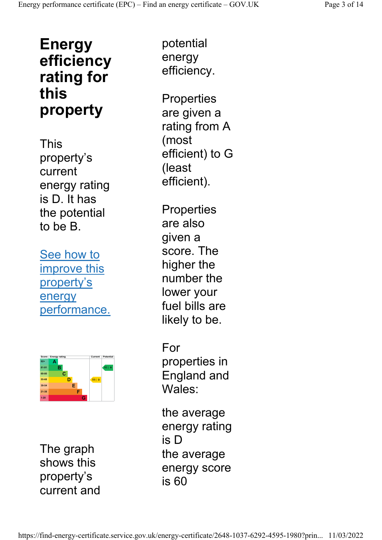### Energy efficiency rating for this property

This property's current energy rating is D. It has the potential to be B.

See how to improve this property's energy performance.



The graph shows this property's current and

potential energy efficiency.

**Properties** are given a rating from A (most efficient) to G (least efficient).

**Properties** are also given a score. The higher the number the lower your fuel bills are likely to be.

For properties in England and Wales:

the average energy rating is D the average energy score is 60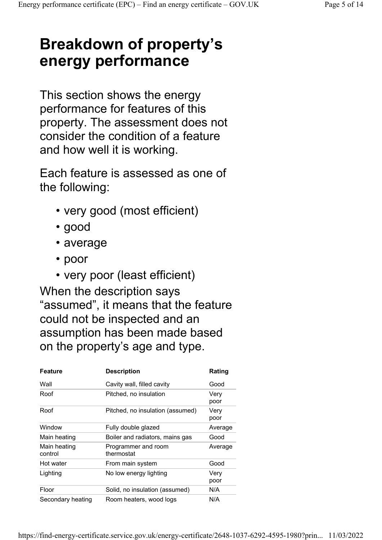### Breakdown of property's energy performance

This section shows the energy performance for features of this property. The assessment does not consider the condition of a feature and how well it is working.

Each feature is assessed as one of the following:

- very good (most efficient)
- good
- average
- poor
- very poor (least efficient)

When the description says "assumed", it means that the feature could not be inspected and an assumption has been made based on the property's age and type.

| <b>Feature</b>          | <b>Description</b>                | Rating       |
|-------------------------|-----------------------------------|--------------|
| Wall                    | Cavity wall, filled cavity        | Good         |
| Roof                    | Pitched, no insulation            | Very<br>poor |
| Roof                    | Pitched, no insulation (assumed)  | Very<br>poor |
| Window                  | Fully double glazed               | Average      |
| Main heating            | Boiler and radiators, mains gas   | Good         |
| Main heating<br>control | Programmer and room<br>thermostat | Average      |
| Hot water               | From main system                  | Good         |
| Lighting                | No low energy lighting            | Very<br>poor |
| Floor                   | Solid, no insulation (assumed)    | N/A          |
| Secondary heating       | Room heaters, wood logs           | N/A          |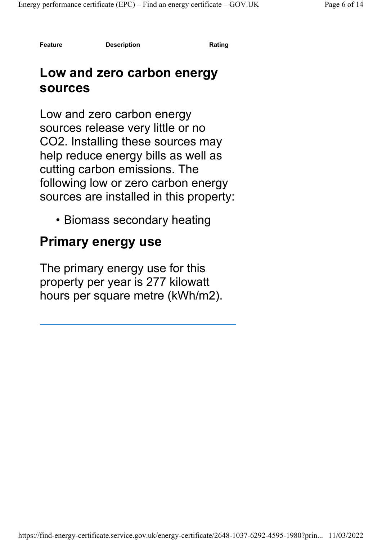Feature Description Description Rating

#### Low and zero carbon energy sources

Low and zero carbon energy sources release very little or no CO2. Installing these sources may help reduce energy bills as well as cutting carbon emissions. The following low or zero carbon energy sources are installed in this property:

• Biomass secondary heating

#### Primary energy use

The primary energy use for this property per year is 277 kilowatt hours per square metre (kWh/m2).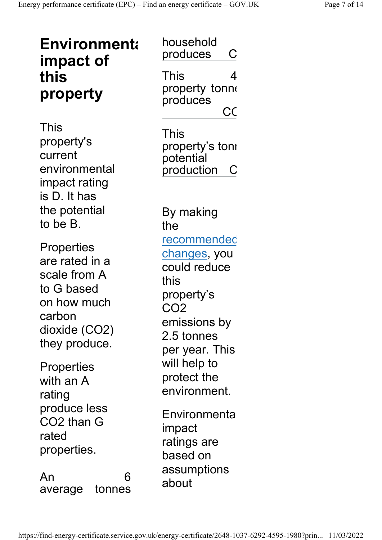| <b>Environmenta</b><br>impact of                                                                                             | household<br>produces<br>С                                                                                                                   |
|------------------------------------------------------------------------------------------------------------------------------|----------------------------------------------------------------------------------------------------------------------------------------------|
| this<br>property                                                                                                             | This<br>4<br>property tonne<br>produces<br>CC                                                                                                |
| This<br>property's<br>current<br>environmental<br>impact rating<br>is D. It has                                              | This<br>property's tonı<br>potential<br>production<br>$\mathsf{C}$                                                                           |
| the potential<br>to be B.                                                                                                    | By making<br>the                                                                                                                             |
| <b>Properties</b><br>are rated in a<br>scale from A<br>to G based<br>on how much<br>carbon<br>dioxide (CO2)<br>they produce. | recommendec<br><u>changes</u> , you<br>could reduce<br>this<br>property's<br>CO <sub>2</sub><br>emissions by<br>2.5 tonnes<br>per year. This |
| <b>Properties</b><br>with an A<br>rating                                                                                     | will help to<br>protect the<br>environment.                                                                                                  |
| produce less<br>CO2 than G<br>rated<br>properties.                                                                           | Environmenta<br>impact<br>ratings are<br>based on                                                                                            |
| An<br>6<br>tonnes<br>average                                                                                                 | assumptions<br>about                                                                                                                         |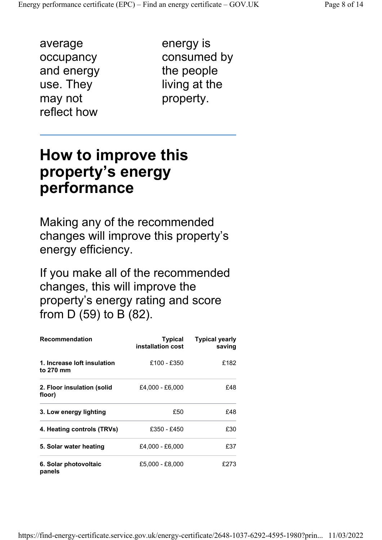average occupancy and energy use. They may not reflect how

energy is consumed by the people living at the property.

#### How to improve this property's energy performance

Making any of the recommended changes will improve this property's energy efficiency.

If you make all of the recommended changes, this will improve the property's energy rating and score from D (59) to B (82).

| <b>Recommendation</b>                    | <b>Typical</b><br>installation cost | <b>Typical yearly</b><br>saving |
|------------------------------------------|-------------------------------------|---------------------------------|
| 1. Increase loft insulation<br>to 270 mm | £100 - £350                         | £182                            |
| 2. Floor insulation (solid<br>floor)     | £4,000 - £6,000                     | £48                             |
| 3. Low energy lighting                   | £50                                 | £48                             |
| 4. Heating controls (TRVs)               | £350 - £450                         | £30                             |
| 5. Solar water heating                   | £4,000 - £6,000                     | £37                             |
| 6. Solar photovoltaic<br>panels          | £5,000 - £8,000                     | £273                            |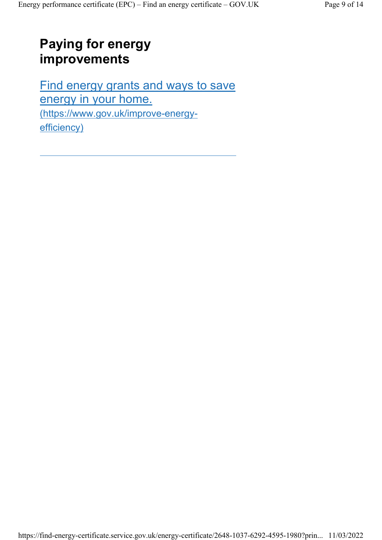#### Paying for energy improvements

Find energy grants and ways to save energy in your home. (https://www.gov.uk/improve-energyefficiency)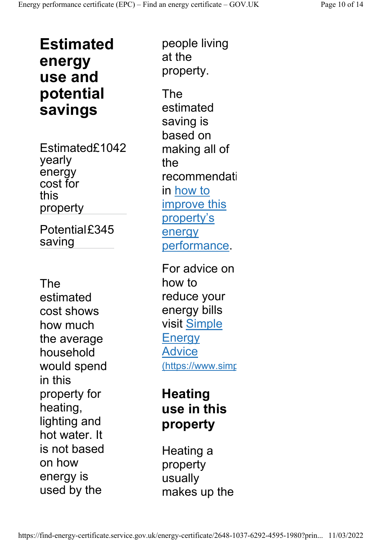Estimated energy use and potential savings

Estimated£1042 yearly energy cost for this property

Potential£345 saving

The estimated cost shows how much the average household would spend in this property for heating, lighting and hot water. It is not based on how energy is used by the

people living at the property.

The estimated saving is based on making all of the recommendati in how to improve this property's energy performance.

For advice on how to reduce your energy bills visit Simple **Energy** Advice (https://www.simp

#### **Heating** use in this property

Heating a property usually makes up the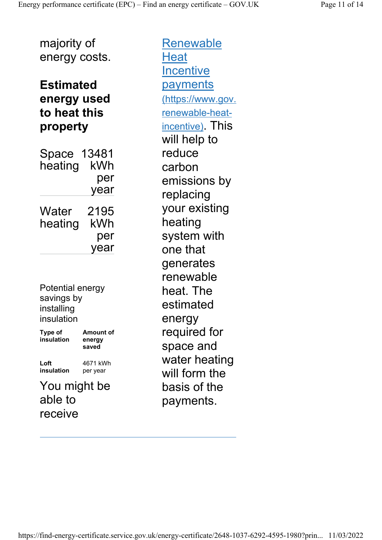majority of energy costs.

#### Estimated energy used to heat this property

Space 13481 heating kWh per year Water heating 2195 kWh per year

Potential energy savings by installing insulation

Type of insulation Amount of energy saved Loft insulation 4671 kWh per year

You might be able to receive

Renewable **Heat Incentive** payments (https://www.gov. renewable-heatincentive). This will help to reduce carbon emissions by replacing your existing heating system with one that generates renewable heat. The estimated energy required for space and water heating will form the basis of the payments.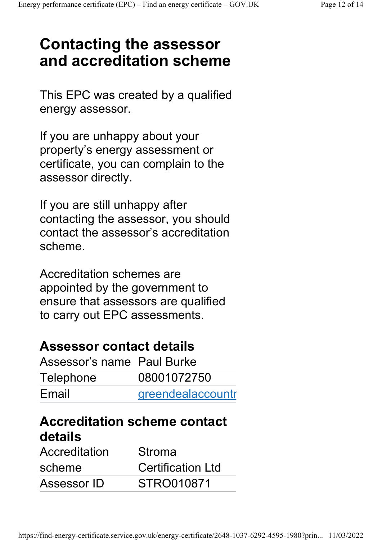### Contacting the assessor and accreditation scheme

This EPC was created by a qualified energy assessor.

If you are unhappy about your property's energy assessment or certificate, you can complain to the assessor directly.

If you are still unhappy after contacting the assessor, you should contact the assessor's accreditation scheme.

Accreditation schemes are appointed by the government to ensure that assessors are qualified to carry out EPC assessments.

#### Assessor contact details

| Assessor's name Paul Burke |                   |
|----------------------------|-------------------|
| Telephone                  | 08001072750       |
| Email                      | greendealaccountr |

#### Accreditation scheme contact details

| Accreditation | Stroma                   |
|---------------|--------------------------|
| scheme        | <b>Certification Ltd</b> |
| Assessor ID   | STRO010871               |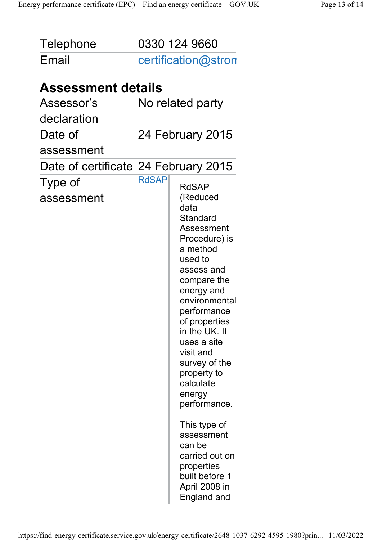| <b>Telephone</b><br>Email            |              | 0330 124 9660<br>certification@stron                                                                                                                                                                                                                                                                                                                                                                                                         |
|--------------------------------------|--------------|----------------------------------------------------------------------------------------------------------------------------------------------------------------------------------------------------------------------------------------------------------------------------------------------------------------------------------------------------------------------------------------------------------------------------------------------|
|                                      |              |                                                                                                                                                                                                                                                                                                                                                                                                                                              |
| <b>Assessment details</b>            |              |                                                                                                                                                                                                                                                                                                                                                                                                                                              |
| Assessor's                           |              | No related party                                                                                                                                                                                                                                                                                                                                                                                                                             |
| declaration                          |              |                                                                                                                                                                                                                                                                                                                                                                                                                                              |
| Date of                              |              | 24 February 2015                                                                                                                                                                                                                                                                                                                                                                                                                             |
| assessment                           |              |                                                                                                                                                                                                                                                                                                                                                                                                                                              |
| Date of certificate 24 February 2015 |              |                                                                                                                                                                                                                                                                                                                                                                                                                                              |
| Type of<br>assessment                | <b>RdSAP</b> | <b>RdSAP</b><br>(Reduced<br>data<br>Standard<br>Assessment<br>Procedure) is<br>a method<br>used to<br>assess and<br>compare the<br>energy and<br>environmental<br>performance<br>of properties<br>in the UK. It<br>uses a site<br>visit and<br>survey of the<br>property to<br>calculate<br>energy<br>performance.<br>This type of<br>assessment<br>can be<br>carried out on<br>properties<br>built before 1<br>April 2008 in<br>England and |